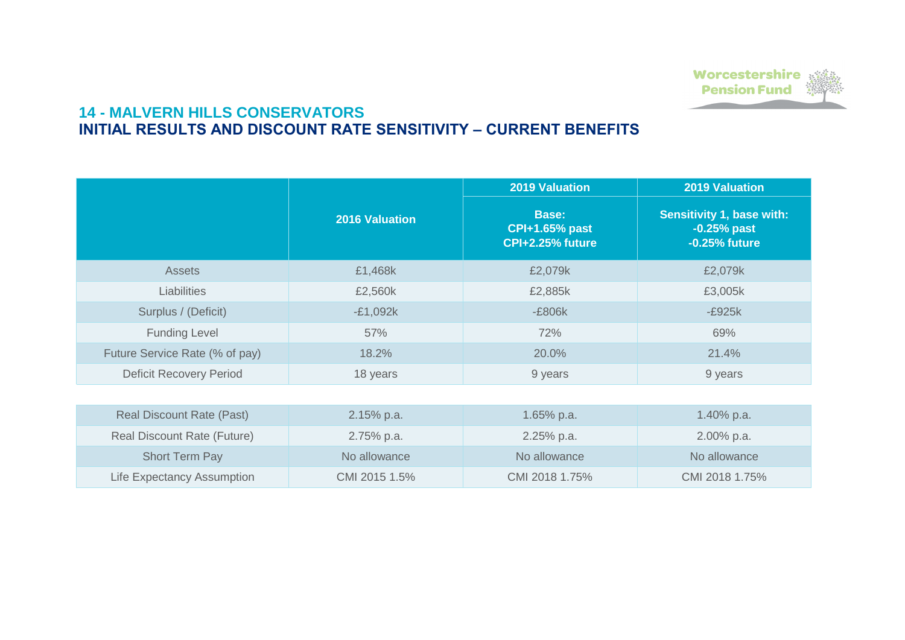## **14 - MALVERN HILLS CONSERVATORS INITIAL RESULTS AND DISCOUNT RATE SENSITIVITY – CURRENT BENEFITS**

|                                    |                       | <b>2019 Valuation</b>                                            | <b>2019 Valuation</b>                                              |
|------------------------------------|-----------------------|------------------------------------------------------------------|--------------------------------------------------------------------|
|                                    | <b>2016 Valuation</b> | <b>Base:</b><br><b>CPI+1.65% past</b><br><b>CPI+2.25% future</b> | <b>Sensitivity 1, base with:</b><br>$-0.25%$ past<br>-0.25% future |
| <b>Assets</b>                      | £1,468k               | £2,079k                                                          | £2,079k                                                            |
| <b>Liabilities</b>                 | £2,560k               | £2,885k                                                          | £3,005k                                                            |
| Surplus / (Deficit)                | $-E1,092k$            | -£806k                                                           | $-E925k$                                                           |
| <b>Funding Level</b>               | 57%                   | 72%                                                              | 69%                                                                |
| Future Service Rate (% of pay)     | 18.2%                 | 20.0%                                                            | 21.4%                                                              |
| <b>Deficit Recovery Period</b>     | 18 years              | 9 years                                                          | 9 years                                                            |
|                                    |                       |                                                                  |                                                                    |
| <b>Real Discount Rate (Past)</b>   | 2.15% p.a.            | 1.65% p.a.                                                       | 1.40% p.a.                                                         |
| <b>Real Discount Rate (Future)</b> | 2.75% p.a.            | 2.25% p.a.                                                       | 2.00% p.a.                                                         |
| <b>Short Term Pay</b>              | No allowance          | No allowance                                                     | No allowance                                                       |
| <b>Life Expectancy Assumption</b>  | CMI 2015 1.5%         | CMI 2018 1.75%                                                   | CMI 2018 1.75%                                                     |



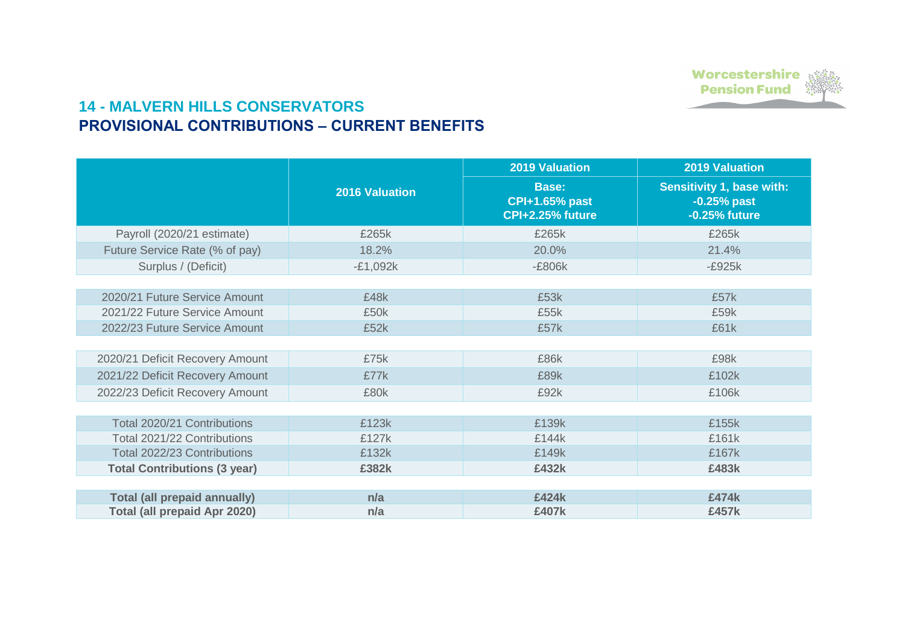## **14 - MALVERN HILLS CONSERVATORS PROVISIONAL CONTRIBUTIONS – CURRENT BENEFITS**

|                                     |                       | <b>2019 Valuation</b>                                            | <b>2019 Valuation</b>                                              |
|-------------------------------------|-----------------------|------------------------------------------------------------------|--------------------------------------------------------------------|
|                                     | <b>2016 Valuation</b> | <b>Base:</b><br><b>CPI+1.65% past</b><br><b>CPI+2.25% future</b> | <b>Sensitivity 1, base with:</b><br>$-0.25%$ past<br>-0.25% future |
| Payroll (2020/21 estimate)          | £265k                 | £265k                                                            | £265k                                                              |
| Future Service Rate (% of pay)      | 18.2%                 | 20.0%                                                            | 21.4%                                                              |
| Surplus / (Deficit)                 | $-E1,092k$            | -£806k                                                           | $-E925k$                                                           |
|                                     |                       |                                                                  |                                                                    |
| 2020/21 Future Service Amount       | £48k                  | £53k                                                             | £57k                                                               |
| 2021/22 Future Service Amount       | £50k                  | £55k                                                             | £59k                                                               |
| 2022/23 Future Service Amount       | £52k                  | £57k                                                             | £61k                                                               |
|                                     |                       |                                                                  |                                                                    |
| 2020/21 Deficit Recovery Amount     | £75k                  | £86k                                                             | £98k                                                               |
| 2021/22 Deficit Recovery Amount     | £77k                  | £89k                                                             | £102k                                                              |
| 2022/23 Deficit Recovery Amount     | £80k                  | £92k                                                             | £106k                                                              |
|                                     |                       |                                                                  |                                                                    |
| <b>Total 2020/21 Contributions</b>  | £123k                 | £139k                                                            | £155k                                                              |
| Total 2021/22 Contributions         | £127k                 | £144k                                                            | £161k                                                              |
| <b>Total 2022/23 Contributions</b>  | £132k                 | £149k                                                            | £167k                                                              |
| <b>Total Contributions (3 year)</b> | £382k                 | £432k                                                            | £483k                                                              |
|                                     |                       |                                                                  |                                                                    |
| <b>Total (all prepaid annually)</b> | n/a                   | £424k                                                            | £474k                                                              |
| <b>Total (all prepaid Apr 2020)</b> | n/a                   | £407k                                                            | £457k                                                              |



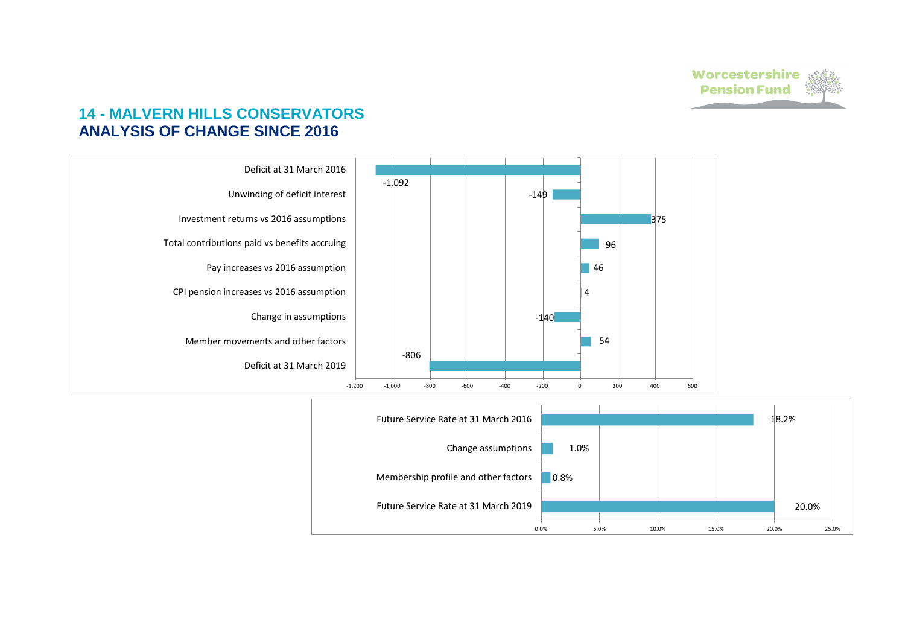## **14 - MALVERN HILLS CONSERVATORS ANALYSIS OF CHANGE SINCE 2016**